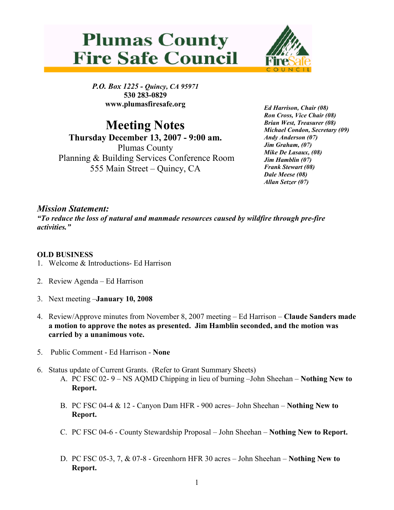



P.O. Box 1225 - Quincy, CA 95971 530 283-0829 www.plumasfiresafe.org

Meeting Notes Thursday December 13, 2007 - 9:00 am. Plumas County Planning & Building Services Conference Room 555 Main Street – Quincy, CA

Ed Harrison, Chair (08) Ron Cross, Vice Chair (08) Brian West, Treasurer (08) Michael Condon, Secretary (09) Andy Anderson (07) Jim Graham, (07) Mike De Lasaux, (08) Jim Hamblin (07) Frank Stewart (08) Dale Meese (08) Allan Setzer (07)

## Mission Statement:

"To reduce the loss of natural and manmade resources caused by wildfire through pre-fire activities."

## OLD BUSINESS

- 1. Welcome & Introductions- Ed Harrison
- 2. Review Agenda Ed Harrison
- 3. Next meeting –January 10, 2008
- 4. Review/Approve minutes from November 8, 2007 meeting Ed Harrison Claude Sanders made a motion to approve the notes as presented. Jim Hamblin seconded, and the motion was carried by a unanimous vote.
- 5. Public Comment Ed Harrison None
- 6. Status update of Current Grants. (Refer to Grant Summary Sheets)
	- A. PC FSC 02- 9 NS AQMD Chipping in lieu of burning –John Sheehan Nothing New to Report.
	- B. PC FSC 04-4 & 12 Canyon Dam HFR 900 acres– John Sheehan Nothing New to Report.
	- C. PC FSC 04-6 County Stewardship Proposal John Sheehan Nothing New to Report.
	- D. PC FSC 05-3, 7, & 07-8 Greenhorn HFR 30 acres John Sheehan Nothing New to Report.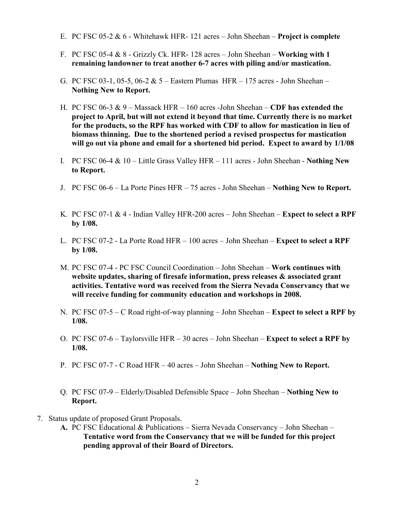- E. PC FSC 05-2  $\&$  6 Whitehawk HFR-121 acres John Sheehan Project is complete
- F. PC FSC 05-4  $\&$  8 Grizzly Ck. HFR- 128 acres John Sheehan Working with 1 remaining landowner to treat another 6-7 acres with piling and/or mastication.
- G. PC FSC 03-1, 05-5, 06-2 & 5 Eastern Plumas HFR 175 acres John Sheehan Nothing New to Report.
- H. PC FSC 06-3  $\& 9$  Massack HFR 160 acres -John Sheehan CDF has extended the project to April, but will not extend it beyond that time. Currently there is no market for the products, so the RPF has worked with CDF to allow for mastication in lieu of biomass thinning. Due to the shortened period a revised prospectus for mastication will go out via phone and email for a shortened bid period. Expect to award by 1/1/08
- I. PC FSC 06-4  $& 10 -$  Little Grass Valley HFR 111 acres John Sheehan Nothing New to Report.
- J. PC FSC 06-6 La Porte Pines HFR 75 acres John Sheehan Nothing New to Report.
- K. PC FSC 07-1  $\&$  4 Indian Valley HFR-200 acres John Sheehan **Expect to select a RPF** by 1/08.
- L. PC FSC 07-2 La Porte Road HFR 100 acres John Sheehan Expect to select a RPF by 1/08.
- M. PC FSC 07-4 PC FSC Council Coordination John Sheehan Work continues with website updates, sharing of firesafe information, press releases & associated grant activities. Tentative word was received from the Sierra Nevada Conservancy that we will receive funding for community education and workshops in 2008.
- N. PC FSC 07-5 C Road right-of-way planning John Sheehan **Expect to select a RPF by** 1/08.
- O. PC FSC 07-6 Taylorsville HFR 30 acres John Sheehan **Expect to select a RPF by** 1/08.
- P. PC FSC 07-7 C Road HFR 40 acres John Sheehan Nothing New to Report.
- Q. PC FSC 07-9 Elderly/Disabled Defensible Space John Sheehan Nothing New to Report.
- 7. Status update of proposed Grant Proposals.
	- A. PC FSC Educational & Publications Sierra Nevada Conservancy John Sheehan Tentative word from the Conservancy that we will be funded for this project pending approval of their Board of Directors.